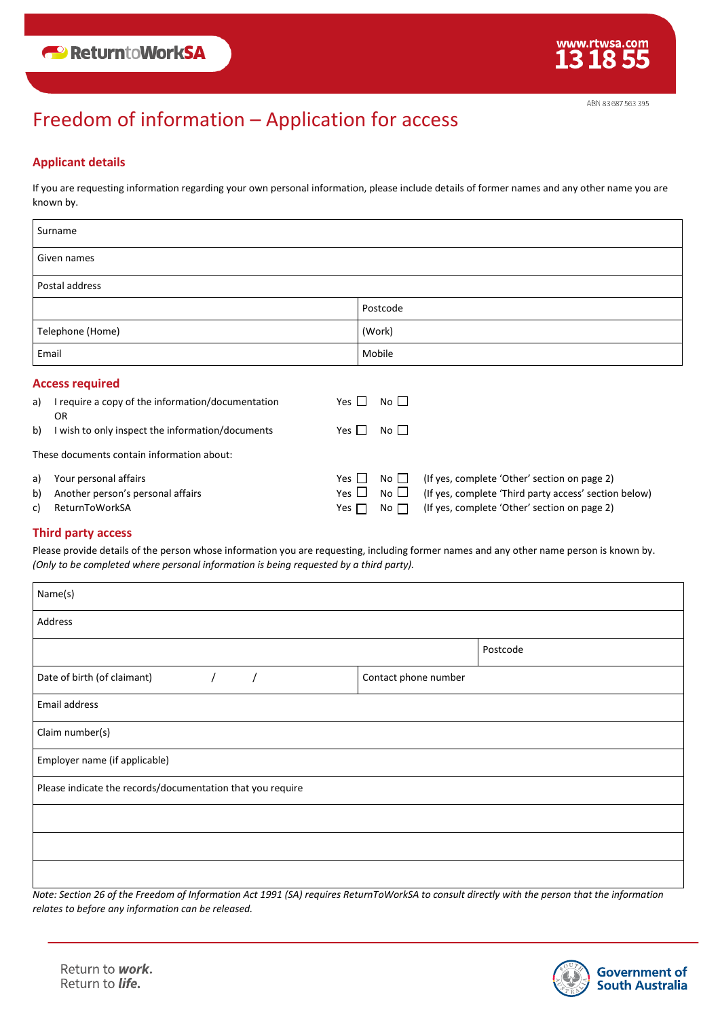## Freedom of information – Application for access

### **Applicant details**

If you are requesting information regarding your own personal information, please include details of former names and any other name you are known by.

| Surname                |                                                             |            |              |                                                        |  |  |
|------------------------|-------------------------------------------------------------|------------|--------------|--------------------------------------------------------|--|--|
| Given names            |                                                             |            |              |                                                        |  |  |
| Postal address         |                                                             |            |              |                                                        |  |  |
|                        |                                                             |            | Postcode     |                                                        |  |  |
| Telephone (Home)       |                                                             |            | (Work)       |                                                        |  |  |
| Email                  |                                                             |            | Mobile       |                                                        |  |  |
| <b>Access required</b> |                                                             |            |              |                                                        |  |  |
|                        | a) I require a copy of the information/documentation<br>OR. | Yes $\Box$ | No $\square$ |                                                        |  |  |
| b)                     | I wish to only inspect the information/documents            | Yes $\Box$ | No           |                                                        |  |  |
|                        | These documents contain information about:                  |            |              |                                                        |  |  |
| a)                     | Your personal affairs                                       | Yes $\Box$ |              | No $\Box$ (If yes, complete 'Other' section on page 2) |  |  |

| b) Another person's personal affairs |  | $Yes \Box No \Box$ (If yes, complete 'Third party access' section below) |
|--------------------------------------|--|--------------------------------------------------------------------------|
| c) ReturnToWorkSA                    |  | Yes $\Box$ No $\Box$ (If yes, complete 'Other' section on page 2)        |

### **Third party access**

Please provide details of the person whose information you are requesting, including former names and any other name person is known by. *(Only to be completed where personal information is being requested by a third party).*

| Name(s)                                                    |                      |          |  |  |  |
|------------------------------------------------------------|----------------------|----------|--|--|--|
| Address                                                    |                      |          |  |  |  |
|                                                            |                      | Postcode |  |  |  |
| Date of birth (of claimant)<br>$\sqrt{2}$<br>$\prime$      | Contact phone number |          |  |  |  |
| Email address                                              |                      |          |  |  |  |
| Claim number(s)                                            |                      |          |  |  |  |
| Employer name (if applicable)                              |                      |          |  |  |  |
| Please indicate the records/documentation that you require |                      |          |  |  |  |
|                                                            |                      |          |  |  |  |
|                                                            |                      |          |  |  |  |
|                                                            |                      |          |  |  |  |

*Note: Section 26 of the Freedom of Information Act 1991 (SA) requires ReturnToWorkSA to consult directly with the person that the information relates to before any information can be released.*